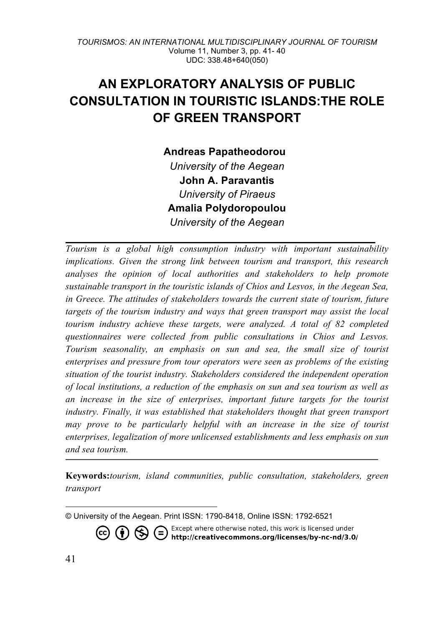# **AN EXPLORATORY ANALYSIS OF PUBLIC CONSULTATION IN TOURISTIC ISLANDS:THE ROLE OF GREEN TRANSPORT**

**Andreas Papatheodorou<sup>2</sup>** *University of the Aegean* **John A. Paravantis** *University of Piraeus* **Amalia Polydoropoulou** *University of the Aegean*

*Tourism is a global high consumption industry with important sustainability implications. Given the strong link between tourism and transport, this research analyses the opinion of local authorities and stakeholders to help promote sustainable transport in the touristic islands of Chios and Lesvos, in the Aegean Sea, in Greece. The attitudes of stakeholders towards the current state of tourism, future targets of the tourism industry and ways that green transport may assist the local tourism industry achieve these targets, were analyzed. A total of 82 completed questionnaires were collected from public consultations in Chios and Lesvos. Tourism seasonality, an emphasis on sun and sea, the small size of tourist enterprises and pressure from tour operators were seen as problems of the existing situation of the tourist industry. Stakeholders considered the independent operation of local institutions, a reduction of the emphasis on sun and sea tourism as well as an increase in the size of enterprises, important future targets for the tourist industry. Finally, it was established that stakeholders thought that green transport may prove to be particularly helpful with an increase in the size of tourist enterprises, legalization of more unlicensed establishments and less emphasis on sun and sea tourism.*

**Keywords:***tourism, island communities, public consultation, stakeholders, green transport*

Except where otherwise noted, this work is licensed under **D**  $\bigodot$  Except where otherwise noted, this work is licensed under http://creativecommons.org/licenses/by-nc-nd/3.0/

1

<sup>©</sup> University of the Aegean. Print ISSN: 1790-8418, Online ISSN: 1792-6521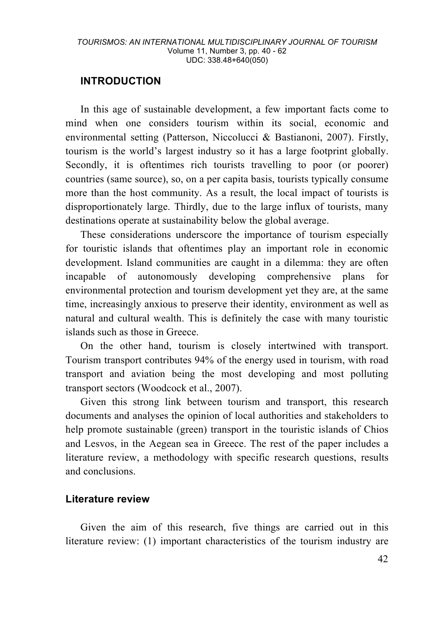## **INTRODUCTION**

In this age of sustainable development, a few important facts come to mind when one considers tourism within its social, economic and environmental setting (Patterson, Niccolucci & Bastianoni, 2007). Firstly, tourism is the world's largest industry so it has a large footprint globally. Secondly, it is oftentimes rich tourists travelling to poor (or poorer) countries (same source), so, on a per capita basis, tourists typically consume more than the host community. As a result, the local impact of tourists is disproportionately large. Thirdly, due to the large influx of tourists, many destinations operate at sustainability below the global average.

These considerations underscore the importance of tourism especially for touristic islands that oftentimes play an important role in economic development. Island communities are caught in a dilemma: they are often incapable of autonomously developing comprehensive plans for environmental protection and tourism development yet they are, at the same time, increasingly anxious to preserve their identity, environment as well as natural and cultural wealth. This is definitely the case with many touristic islands such as those in Greece.

On the other hand, tourism is closely intertwined with transport. Tourism transport contributes 94% of the energy used in tourism, with road transport and aviation being the most developing and most polluting transport sectors (Woodcock et al., 2007).

Given this strong link between tourism and transport, this research documents and analyses the opinion of local authorities and stakeholders to help promote sustainable (green) transport in the touristic islands of Chios and Lesvos, in the Aegean sea in Greece. The rest of the paper includes a literature review, a methodology with specific research questions, results and conclusions.

## **Literature review**

Given the aim of this research, five things are carried out in this literature review: (1) important characteristics of the tourism industry are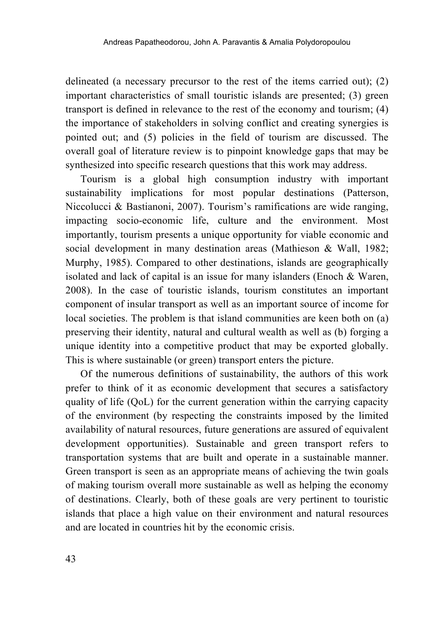delineated (a necessary precursor to the rest of the items carried out); (2) important characteristics of small touristic islands are presented; (3) green transport is defined in relevance to the rest of the economy and tourism; (4) the importance of stakeholders in solving conflict and creating synergies is pointed out; and (5) policies in the field of tourism are discussed. The overall goal of literature review is to pinpoint knowledge gaps that may be synthesized into specific research questions that this work may address.

Tourism is a global high consumption industry with important sustainability implications for most popular destinations (Patterson, Niccolucci & Bastianoni, 2007). Tourism's ramifications are wide ranging, impacting socio-economic life, culture and the environment. Most importantly, tourism presents a unique opportunity for viable economic and social development in many destination areas (Mathieson & Wall, 1982; Murphy, 1985). Compared to other destinations, islands are geographically isolated and lack of capital is an issue for many islanders (Enoch & Waren, 2008). In the case of touristic islands, tourism constitutes an important component of insular transport as well as an important source of income for local societies. The problem is that island communities are keen both on (a) preserving their identity, natural and cultural wealth as well as (b) forging a unique identity into a competitive product that may be exported globally. This is where sustainable (or green) transport enters the picture.

Of the numerous definitions of sustainability, the authors of this work prefer to think of it as economic development that secures a satisfactory quality of life (QoL) for the current generation within the carrying capacity of the environment (by respecting the constraints imposed by the limited availability of natural resources, future generations are assured of equivalent development opportunities). Sustainable and green transport refers to transportation systems that are built and operate in a sustainable manner. Green transport is seen as an appropriate means of achieving the twin goals of making tourism overall more sustainable as well as helping the economy of destinations. Clearly, both of these goals are very pertinent to touristic islands that place a high value on their environment and natural resources and are located in countries hit by the economic crisis.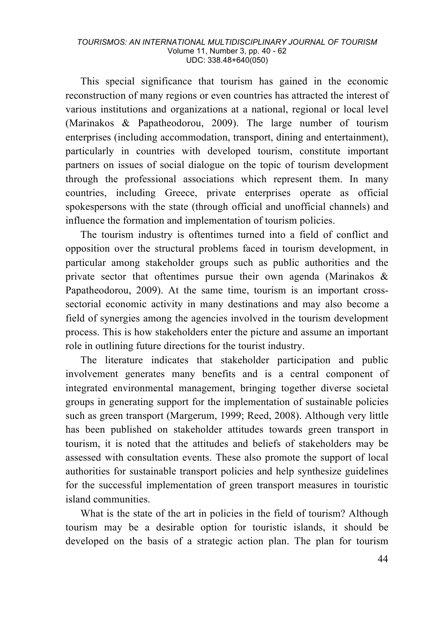This special significance that tourism has gained in the economic reconstruction of many regions or even countries has attracted the interest of various institutions and organizations at a national, regional or local level (Marinakos & Papatheodorou, 2009). The large number of tourism enterprises (including accommodation, transport, dining and entertainment), particularly in countries with developed tourism, constitute important partners on issues of social dialogue on the topic of tourism development through the professional associations which represent them. In many countries, including Greece, private enterprises operate as official spokespersons with the state (through official and unofficial channels) and influence the formation and implementation of tourism policies.

The tourism industry is oftentimes turned into a field of conflict and opposition over the structural problems faced in tourism development, in particular among stakeholder groups such as public authorities and the private sector that oftentimes pursue their own agenda (Marinakos & Papatheodorou, 2009). At the same time, tourism is an important crosssectorial economic activity in many destinations and may also become a field of synergies among the agencies involved in the tourism development process. This is how stakeholders enter the picture and assume an important role in outlining future directions for the tourist industry.

The literature indicates that stakeholder participation and public involvement generates many benefits and is a central component of integrated environmental management, bringing together diverse societal groups in generating support for the implementation of sustainable policies such as green transport (Margerum, 1999; Reed, 2008). Although very little has been published on stakeholder attitudes towards green transport in tourism, it is noted that the attitudes and beliefs of stakeholders may be assessed with consultation events. These also promote the support of local authorities for sustainable transport policies and help synthesize guidelines for the successful implementation of green transport measures in touristic island communities.

What is the state of the art in policies in the field of tourism? Although tourism may be a desirable option for touristic islands, it should be developed on the basis of a strategic action plan. The plan for tourism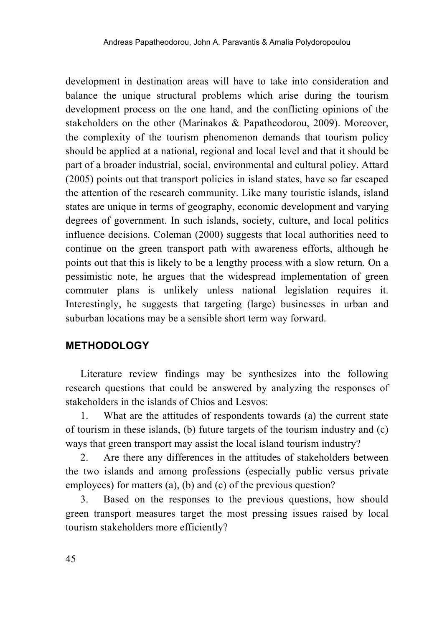development in destination areas will have to take into consideration and balance the unique structural problems which arise during the tourism development process on the one hand, and the conflicting opinions of the stakeholders on the other (Marinakos & Papatheodorou, 2009). Moreover, the complexity of the tourism phenomenon demands that tourism policy should be applied at a national, regional and local level and that it should be part of a broader industrial, social, environmental and cultural policy. Attard (2005) points out that transport policies in island states, have so far escaped the attention of the research community. Like many touristic islands, island states are unique in terms of geography, economic development and varying degrees of government. In such islands, society, culture, and local politics influence decisions. Coleman (2000) suggests that local authorities need to continue on the green transport path with awareness efforts, although he points out that this is likely to be a lengthy process with a slow return. On a pessimistic note, he argues that the widespread implementation of green commuter plans is unlikely unless national legislation requires it. Interestingly, he suggests that targeting (large) businesses in urban and suburban locations may be a sensible short term way forward.

## **METHODOLOGY**

Literature review findings may be synthesizes into the following research questions that could be answered by analyzing the responses of stakeholders in the islands of Chios and Lesvos:

1. What are the attitudes of respondents towards (a) the current state of tourism in these islands, (b) future targets of the tourism industry and (c) ways that green transport may assist the local island tourism industry?

2. Are there any differences in the attitudes of stakeholders between the two islands and among professions (especially public versus private employees) for matters (a), (b) and (c) of the previous question?

3. Based on the responses to the previous questions, how should green transport measures target the most pressing issues raised by local tourism stakeholders more efficiently?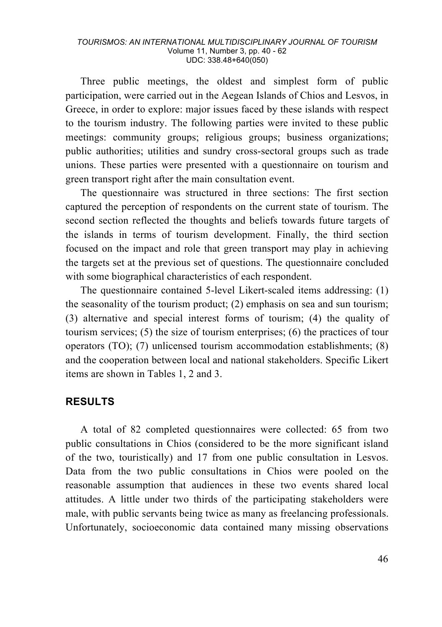Three public meetings, the oldest and simplest form of public participation, were carried out in the Aegean Islands of Chios and Lesvos, in Greece, in order to explore: major issues faced by these islands with respect to the tourism industry. The following parties were invited to these public meetings: community groups; religious groups; business organizations; public authorities; utilities and sundry cross-sectoral groups such as trade unions. These parties were presented with a questionnaire on tourism and green transport right after the main consultation event.

The questionnaire was structured in three sections: The first section captured the perception of respondents on the current state of tourism. The second section reflected the thoughts and beliefs towards future targets of the islands in terms of tourism development. Finally, the third section focused on the impact and role that green transport may play in achieving the targets set at the previous set of questions. The questionnaire concluded with some biographical characteristics of each respondent.

The questionnaire contained 5-level Likert-scaled items addressing: (1) the seasonality of the tourism product; (2) emphasis on sea and sun tourism; (3) alternative and special interest forms of tourism; (4) the quality of tourism services; (5) the size of tourism enterprises; (6) the practices of tour operators (TO); (7) unlicensed tourism accommodation establishments; (8) and the cooperation between local and national stakeholders. Specific Likert items are shown in Tables 1, 2 and 3.

## **RESULTS**

A total of 82 completed questionnaires were collected: 65 from two public consultations in Chios (considered to be the more significant island of the two, touristically) and 17 from one public consultation in Lesvos. Data from the two public consultations in Chios were pooled on the reasonable assumption that audiences in these two events shared local attitudes. A little under two thirds of the participating stakeholders were male, with public servants being twice as many as freelancing professionals. Unfortunately, socioeconomic data contained many missing observations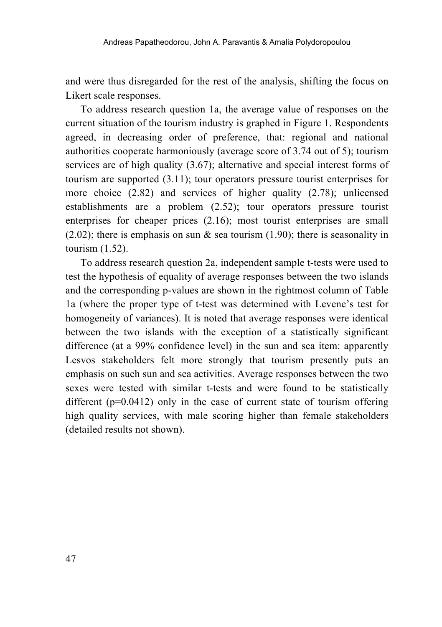and were thus disregarded for the rest of the analysis, shifting the focus on Likert scale responses.

To address research question 1a, the average value of responses on the current situation of the tourism industry is graphed in Figure 1. Respondents agreed, in decreasing order of preference, that: regional and national authorities cooperate harmoniously (average score of 3.74 out of 5); tourism services are of high quality (3.67); alternative and special interest forms of tourism are supported (3.11); tour operators pressure tourist enterprises for more choice (2.82) and services of higher quality (2.78); unlicensed establishments are a problem (2.52); tour operators pressure tourist enterprises for cheaper prices (2.16); most tourist enterprises are small (2.02); there is emphasis on sun  $\&$  sea tourism (1.90); there is seasonality in tourism (1.52).

To address research question 2a, independent sample t-tests were used to test the hypothesis of equality of average responses between the two islands and the corresponding p-values are shown in the rightmost column of Table 1a (where the proper type of t-test was determined with Levene's test for homogeneity of variances). It is noted that average responses were identical between the two islands with the exception of a statistically significant difference (at a 99% confidence level) in the sun and sea item: apparently Lesvos stakeholders felt more strongly that tourism presently puts an emphasis on such sun and sea activities. Average responses between the two sexes were tested with similar t-tests and were found to be statistically different  $(p=0.0412)$  only in the case of current state of tourism offering high quality services, with male scoring higher than female stakeholders (detailed results not shown).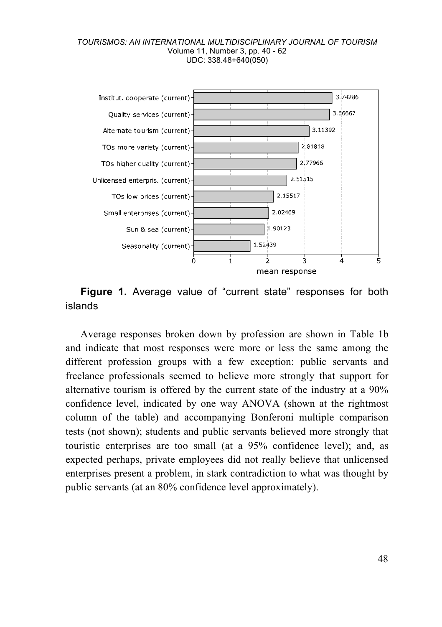

**Figure 1.** Average value of "current state" responses for both islands

Average responses broken down by profession are shown in Table 1b and indicate that most responses were more or less the same among the different profession groups with a few exception: public servants and freelance professionals seemed to believe more strongly that support for alternative tourism is offered by the current state of the industry at a 90% confidence level, indicated by one way ANOVA (shown at the rightmost column of the table) and accompanying Bonferoni multiple comparison tests (not shown); students and public servants believed more strongly that touristic enterprises are too small (at a 95% confidence level); and, as expected perhaps, private employees did not really believe that unlicensed enterprises present a problem, in stark contradiction to what was thought by public servants (at an 80% confidence level approximately).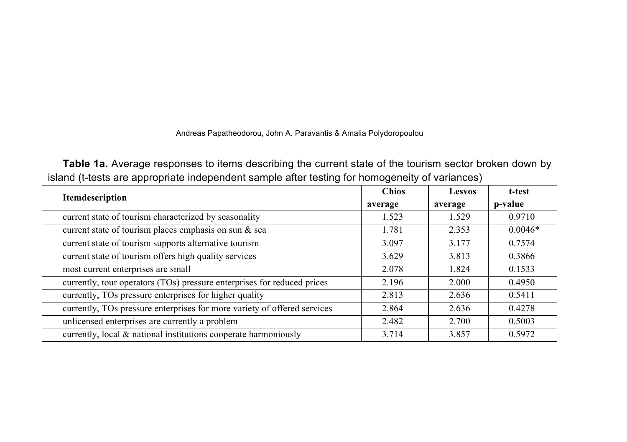## Andreas Papatheodorou, John A. Paravantis & Amalia Polydoropoulou

**Table 1a.** Average responses to items describing the current state of the tourism sector broken down by island (t-tests are appropriate independent sample after testing for homogeneity of variances)

| Itemdescription                                                          | <b>Chios</b> | <b>Lesvos</b> | t-test    |
|--------------------------------------------------------------------------|--------------|---------------|-----------|
|                                                                          | average      | average       | p-value   |
| current state of tourism characterized by seasonality                    | 1.523        | 1.529         | 0.9710    |
| current state of tourism places emphasis on sun & sea                    | 1.781        | 2.353         | $0.0046*$ |
| current state of tourism supports alternative tourism                    | 3.097        | 3.177         | 0.7574    |
| current state of tourism offers high quality services                    | 3.629        | 3.813         | 0.3866    |
| most current enterprises are small                                       | 2.078        | 1.824         | 0.1533    |
| currently, tour operators (TOs) pressure enterprises for reduced prices  | 2.196        | 2.000         | 0.4950    |
| currently, TOs pressure enterprises for higher quality                   | 2.813        | 2.636         | 0.5411    |
| currently, TOs pressure enterprises for more variety of offered services | 2.864        | 2.636         | 0.4278    |
| unlicensed enterprises are currently a problem                           | 2.482        | 2.700         | 0.5003    |
| currently, local $\&$ national institutions cooperate harmoniously       | 3.714        | 3.857         | 0.5972    |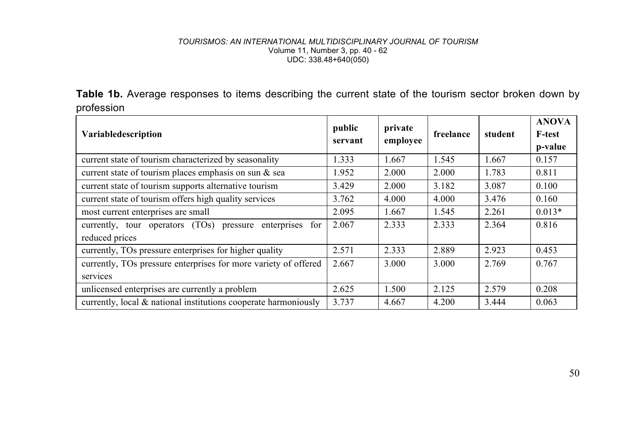Table 1b. Average responses to items describing the current state of the tourism sector broken down by profession

| <b>Variabledescription</b>                                          | public<br>servant | private<br>employee | freelance | student | <b>ANOVA</b><br><b>F-test</b><br>p-value |
|---------------------------------------------------------------------|-------------------|---------------------|-----------|---------|------------------------------------------|
| current state of tourism characterized by seasonality               | 1.333             | 1.667               | 1.545     | 1.667   | 0.157                                    |
| current state of tourism places emphasis on sun $\&$ sea            | 1.952             | 2.000               | 2.000     | 1.783   | 0.811                                    |
| current state of tourism supports alternative tourism               | 3.429             | 2.000               | 3.182     | 3.087   | 0.100                                    |
| current state of tourism offers high quality services               | 3.762             | 4.000               | 4.000     | 3.476   | 0.160                                    |
| most current enterprises are small                                  | 2.095             | 1.667               | 1.545     | 2.261   | $0.013*$                                 |
| currently, tour operators $(TOs)$<br>for<br>enterprises<br>pressure | 2.067             | 2.333               | 2.333     | 2.364   | 0.816                                    |
| reduced prices                                                      |                   |                     |           |         |                                          |
| currently, TOs pressure enterprises for higher quality              | 2.571             | 2.333               | 2.889     | 2.923   | 0.453                                    |
| currently, TOs pressure enterprises for more variety of offered     | 2.667             | 3.000               | 3.000     | 2.769   | 0.767                                    |
| services                                                            |                   |                     |           |         |                                          |
| unlicensed enterprises are currently a problem                      | 2.625             | 1.500               | 2.125     | 2.579   | 0.208                                    |
| currently, local $\&$ national institutions cooperate harmoniously  | 3.737             | 4.667               | 4.200     | 3.444   | 0.063                                    |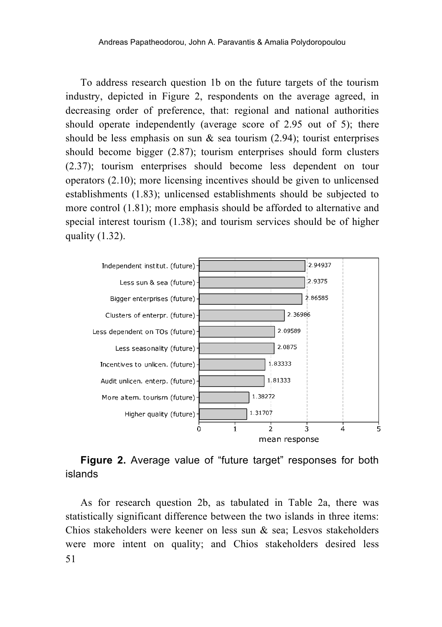To address research question 1b on the future targets of the tourism industry, depicted in Figure 2, respondents on the average agreed, in decreasing order of preference, that: regional and national authorities should operate independently (average score of 2.95 out of 5); there should be less emphasis on sun  $\&$  sea tourism (2.94); tourist enterprises should become bigger (2.87); tourism enterprises should form clusters (2.37); tourism enterprises should become less dependent on tour operators (2.10); more licensing incentives should be given to unlicensed establishments (1.83); unlicensed establishments should be subjected to more control (1.81); more emphasis should be afforded to alternative and special interest tourism (1.38); and tourism services should be of higher quality (1.32).



## **Figure 2.** Average value of "future target" responses for both islands

51 As for research question 2b, as tabulated in Table 2a, there was statistically significant difference between the two islands in three items: Chios stakeholders were keener on less sun & sea; Lesvos stakeholders were more intent on quality; and Chios stakeholders desired less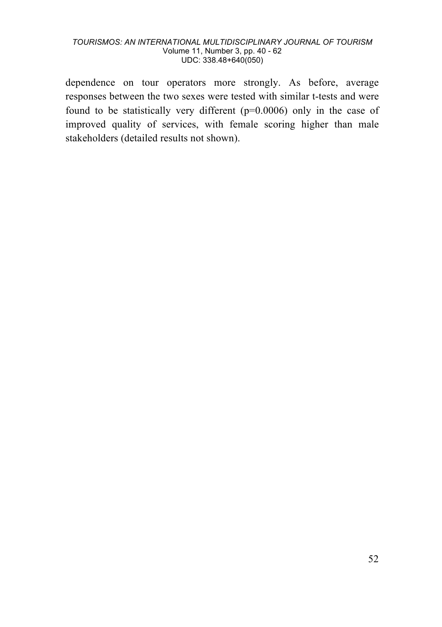dependence on tour operators more strongly. As before, average responses between the two sexes were tested with similar t-tests and were found to be statistically very different (p=0.0006) only in the case of improved quality of services, with female scoring higher than male stakeholders (detailed results not shown).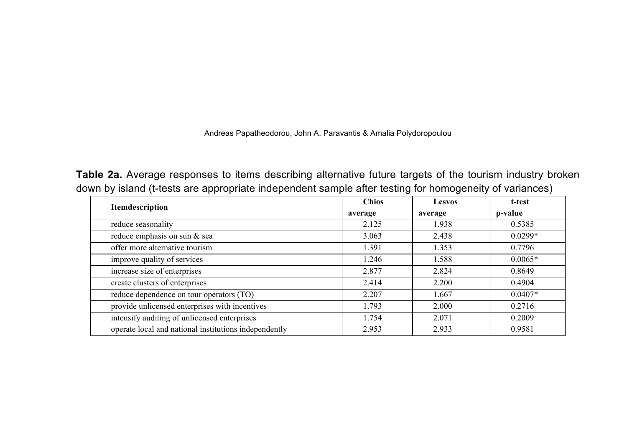Andreas Papatheodorou, John A. Paravantis & Amalia Polydoropoulou

**Table 2a.** Average responses to items describing alternative future targets of the tourism industry broken down by island (t-tests are appropriate independent sample after testing for homogeneity of variances)

| Itemdescription                                       | <b>Chios</b> | Lesvos  | t-test    |
|-------------------------------------------------------|--------------|---------|-----------|
|                                                       | average      | average | p-value   |
| reduce seasonality                                    | 2.125        | 1.938   | 0.5385    |
| reduce emphasis on sun & sea                          | 3.063        | 2.438   | $0.0299*$ |
| offer more alternative tourism                        | 1.391        | 1.353   | 0.7796    |
| improve quality of services                           | 1.246        | 1.588   | $0.0065*$ |
| increase size of enterprises                          | 2.877        | 2.824   | 0.8649    |
| create clusters of enterprises                        | 2.414        | 2.200   | 0.4904    |
| reduce dependence on tour operators (TO)              | 2.207        | 1.667   | $0.0407*$ |
| provide unlicensed enterprises with incentives        | 1.793        | 2.000   | 0.2716    |
| intensify auditing of unlicensed enterprises          | 1.754        | 2.071   | 0.2009    |
| operate local and national institutions independently | 2.953        | 2.933   | 0.9581    |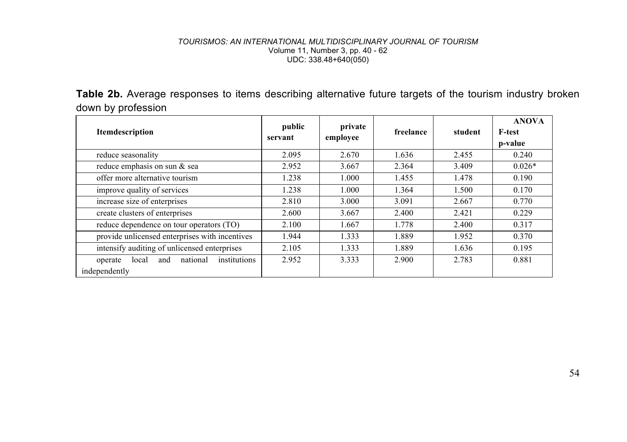**Table 2b.** Average responses to items describing alternative future targets of the tourism industry broken down by profession

| Itemdescription                                                      | public<br>servant | private<br>employee | freelance | student | <b>ANOVA</b><br><b>F-test</b><br>p-value |
|----------------------------------------------------------------------|-------------------|---------------------|-----------|---------|------------------------------------------|
| reduce seasonality                                                   | 2.095             | 2.670               | 1.636     | 2.455   | 0.240                                    |
| reduce emphasis on sun & sea                                         | 2.952             | 3.667               | 2.364     | 3.409   | $0.026*$                                 |
| offer more alternative tourism                                       | 1.238             | 1.000               | 1.455     | 1.478   | 0.190                                    |
| improve quality of services                                          | 1.238             | 1.000               | 1.364     | 1.500   | 0.170                                    |
| increase size of enterprises                                         | 2.810             | 3.000               | 3.091     | 2.667   | 0.770                                    |
| create clusters of enterprises                                       | 2.600             | 3.667               | 2.400     | 2.421   | 0.229                                    |
| reduce dependence on tour operators (TO)                             | 2.100             | 1.667               | 1.778     | 2.400   | 0.317                                    |
| provide unlicensed enterprises with incentives                       | 1.944             | 1.333               | 1.889     | 1.952   | 0.370                                    |
| intensify auditing of unlicensed enterprises                         | 2.105             | 1.333               | 1.889     | 1.636   | 0.195                                    |
| institutions<br>national<br>and<br>local<br>operate<br>independently | 2.952             | 3.333               | 2.900     | 2.783   | 0.881                                    |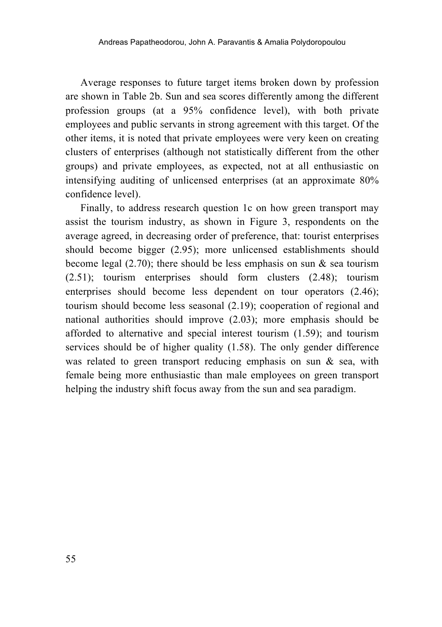Average responses to future target items broken down by profession are shown in Table 2b. Sun and sea scores differently among the different profession groups (at a 95% confidence level), with both private employees and public servants in strong agreement with this target. Of the other items, it is noted that private employees were very keen on creating clusters of enterprises (although not statistically different from the other groups) and private employees, as expected, not at all enthusiastic on intensifying auditing of unlicensed enterprises (at an approximate 80% confidence level).

Finally, to address research question 1c on how green transport may assist the tourism industry, as shown in Figure 3, respondents on the average agreed, in decreasing order of preference, that: tourist enterprises should become bigger (2.95); more unlicensed establishments should become legal (2.70); there should be less emphasis on sun  $\&$  sea tourism (2.51); tourism enterprises should form clusters (2.48); tourism enterprises should become less dependent on tour operators (2.46); tourism should become less seasonal (2.19); cooperation of regional and national authorities should improve (2.03); more emphasis should be afforded to alternative and special interest tourism (1.59); and tourism services should be of higher quality (1.58). The only gender difference was related to green transport reducing emphasis on sun & sea, with female being more enthusiastic than male employees on green transport helping the industry shift focus away from the sun and sea paradigm.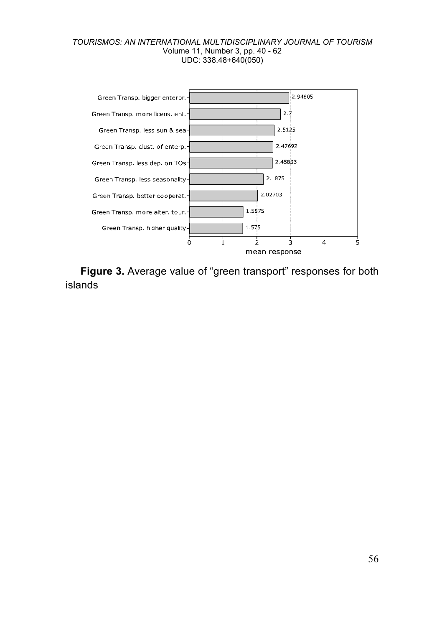

**Figure 3.** Average value of "green transport" responses for both islands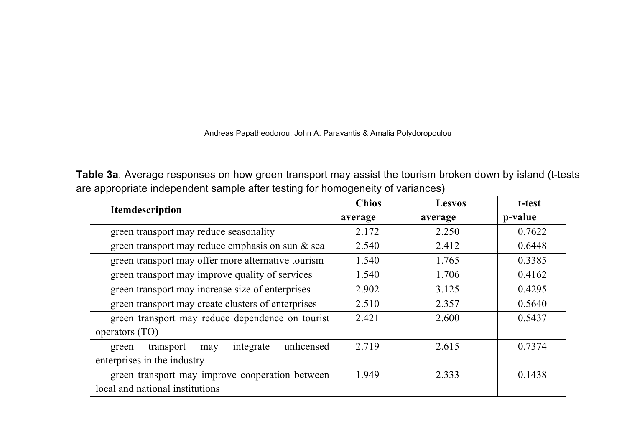Andreas Papatheodorou, John A. Paravantis & Amalia Polydoropoulou

**Table 3a**. Average responses on how green transport may assist the tourism broken down by island (t-tests are appropriate independent sample after testing for homogeneity of variances)

| <b>Itemdescription</b>                               | <b>Chios</b> | Lesvos  | t-test  |
|------------------------------------------------------|--------------|---------|---------|
|                                                      | average      | average | p-value |
| green transport may reduce seasonality               | 2.172        | 2.250   | 0.7622  |
| green transport may reduce emphasis on sun & sea     | 2.540        | 2.412   | 0.6448  |
| green transport may offer more alternative tourism   | 1.540        | 1.765   | 0.3385  |
| green transport may improve quality of services      | 1.540        | 1.706   | 0.4162  |
| green transport may increase size of enterprises     | 2.902        | 3.125   | 0.4295  |
| green transport may create clusters of enterprises   | 2.510        | 2.357   | 0.5640  |
| green transport may reduce dependence on tourist     | 2.421        | 2.600   | 0.5437  |
| operators (TO)                                       |              |         |         |
| unlicensed<br>integrate<br>transport<br>green<br>may | 2.719        | 2.615   | 0.7374  |
| enterprises in the industry                          |              |         |         |
| green transport may improve cooperation between      | 1.949        | 2.333   | 0.1438  |
| local and national institutions                      |              |         |         |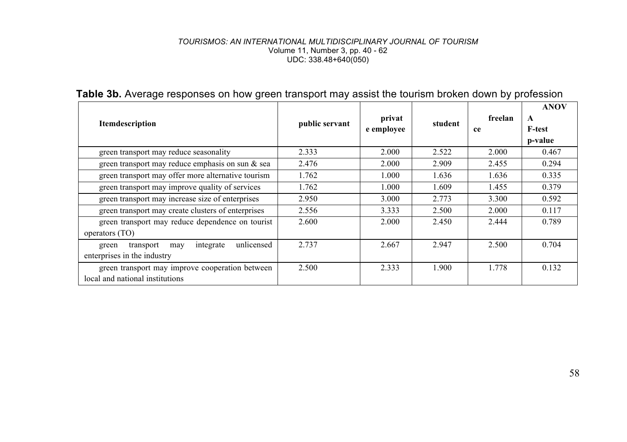| Itemdescription                                                                     | public servant | privat<br>e employee | student | freelan<br>ce | <b>ANOV</b><br>$\mathbf{A}$<br>F-test<br>p-value |
|-------------------------------------------------------------------------------------|----------------|----------------------|---------|---------------|--------------------------------------------------|
| green transport may reduce seasonality                                              | 2.333          | 2.000                | 2.522   | 2.000         | 0.467                                            |
| green transport may reduce emphasis on sun $\&$ sea                                 | 2.476          | 2.000                | 2.909   | 2.455         | 0.294                                            |
| green transport may offer more alternative tourism                                  | 1.762          | 1.000                | 1.636   | 1.636         | 0.335                                            |
| green transport may improve quality of services                                     | 1.762          | 1.000                | 1.609   | 1.455         | 0.379                                            |
| green transport may increase size of enterprises                                    | 2.950          | 3.000                | 2.773   | 3.300         | 0.592                                            |
| green transport may create clusters of enterprises                                  | 2.556          | 3.333                | 2.500   | 2.000         | 0.117                                            |
| green transport may reduce dependence on tourist<br>operators (TO)                  | 2.600          | 2.000                | 2.450   | 2.444         | 0.789                                            |
| unlicensed<br>integrate<br>transport<br>green<br>may<br>enterprises in the industry | 2.737          | 2.667                | 2.947   | 2.500         | 0.704                                            |
| green transport may improve cooperation between<br>local and national institutions  | 2.500          | 2.333                | 1.900   | 1.778         | 0.132                                            |

## **Table 3b.** Average responses on how green transport may assist the tourism broken down by profession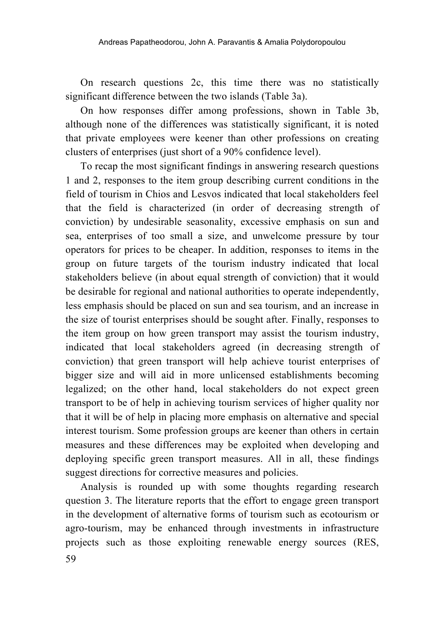On research questions 2c, this time there was no statistically significant difference between the two islands (Table 3a).

On how responses differ among professions, shown in Table 3b, although none of the differences was statistically significant, it is noted that private employees were keener than other professions on creating clusters of enterprises (just short of a 90% confidence level).

To recap the most significant findings in answering research questions 1 and 2, responses to the item group describing current conditions in the field of tourism in Chios and Lesvos indicated that local stakeholders feel that the field is characterized (in order of decreasing strength of conviction) by undesirable seasonality, excessive emphasis on sun and sea, enterprises of too small a size, and unwelcome pressure by tour operators for prices to be cheaper. In addition, responses to items in the group on future targets of the tourism industry indicated that local stakeholders believe (in about equal strength of conviction) that it would be desirable for regional and national authorities to operate independently, less emphasis should be placed on sun and sea tourism, and an increase in the size of tourist enterprises should be sought after. Finally, responses to the item group on how green transport may assist the tourism industry, indicated that local stakeholders agreed (in decreasing strength of conviction) that green transport will help achieve tourist enterprises of bigger size and will aid in more unlicensed establishments becoming legalized; on the other hand, local stakeholders do not expect green transport to be of help in achieving tourism services of higher quality nor that it will be of help in placing more emphasis on alternative and special interest tourism. Some profession groups are keener than others in certain measures and these differences may be exploited when developing and deploying specific green transport measures. All in all, these findings suggest directions for corrective measures and policies.

59 Analysis is rounded up with some thoughts regarding research question 3. The literature reports that the effort to engage green transport in the development of alternative forms of tourism such as ecotourism or agro-tourism, may be enhanced through investments in infrastructure projects such as those exploiting renewable energy sources (RES,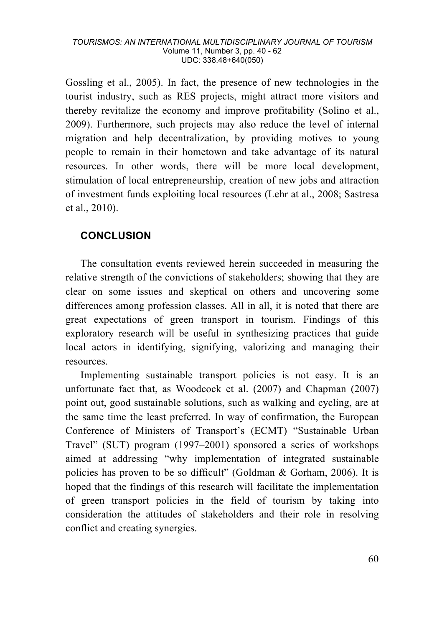Gossling et al., 2005). In fact, the presence of new technologies in the tourist industry, such as RES projects, might attract more visitors and thereby revitalize the economy and improve profitability (Solino et al., 2009). Furthermore, such projects may also reduce the level of internal migration and help decentralization, by providing motives to young people to remain in their hometown and take advantage of its natural resources. In other words, there will be more local development, stimulation of local entrepreneurship, creation of new jobs and attraction of investment funds exploiting local resources (Lehr at al., 2008; Sastresa et al., 2010).

## **CONCLUSION**

The consultation events reviewed herein succeeded in measuring the relative strength of the convictions of stakeholders; showing that they are clear on some issues and skeptical on others and uncovering some differences among profession classes. All in all, it is noted that there are great expectations of green transport in tourism. Findings of this exploratory research will be useful in synthesizing practices that guide local actors in identifying, signifying, valorizing and managing their resources.

Implementing sustainable transport policies is not easy. It is an unfortunate fact that, as Woodcock et al. (2007) and Chapman (2007) point out, good sustainable solutions, such as walking and cycling, are at the same time the least preferred. In way of confirmation, the European Conference of Ministers of Transport's (ECMT) "Sustainable Urban Travel" (SUT) program (1997–2001) sponsored a series of workshops aimed at addressing "why implementation of integrated sustainable policies has proven to be so difficult" (Goldman & Gorham, 2006). It is hoped that the findings of this research will facilitate the implementation of green transport policies in the field of tourism by taking into consideration the attitudes of stakeholders and their role in resolving conflict and creating synergies.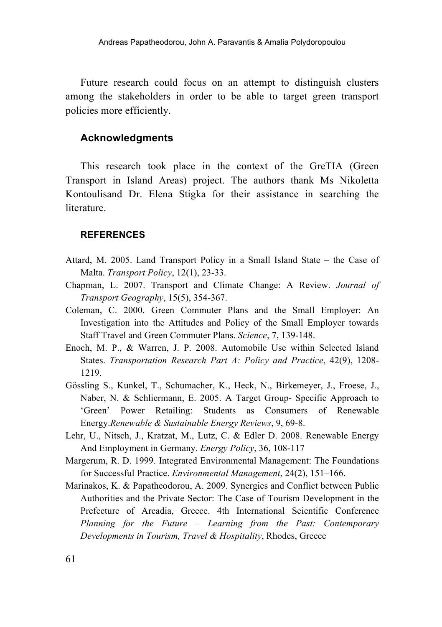Future research could focus on an attempt to distinguish clusters among the stakeholders in order to be able to target green transport policies more efficiently.

### **Acknowledgments**

This research took place in the context of the GreTIA (Green Transport in Island Areas) project. The authors thank Ms Nikoletta Kontoulisand Dr. Elena Stigka for their assistance in searching the literature.

### **REFERENCES**

- Attard, M. 2005. Land Transport Policy in a Small Island State the Case of Malta. *Transport Policy*, 12(1), 23-33.
- Chapman, L. 2007. Transport and Climate Change: A Review. *Journal of Transport Geography*, 15(5), 354-367.
- Coleman, C. 2000. Green Commuter Plans and the Small Employer: An Investigation into the Attitudes and Policy of the Small Employer towards Staff Travel and Green Commuter Plans. *Science*, 7, 139-148.
- Enoch, M. P., & Warren, J. P. 2008. Automobile Use within Selected Island States. *Transportation Research Part A: Policy and Practice*, 42(9), 1208- 1219.
- Gössling S., Kunkel, T., Schumacher, K., Heck, N., Birkemeyer, J., Froese, J., Naber, N. & Schliermann, E. 2005. A Target Group- Specific Approach to 'Green' Power Retailing: Students as Consumers of Renewable Energy.*Renewable & Sustainable Energy Reviews*, 9, 69-8.
- Lehr, U., Nitsch, J., Kratzat, M., Lutz, C. & Edler D. 2008. Renewable Energy And Employment in Germany. *Energy Policy*, 36, 108-117
- Margerum, R. D. 1999. Integrated Environmental Management: The Foundations for Successful Practice. *Environmental Management*, 24(2), 151–166.
- Marinakos, K. & Papatheodorou, A. 2009. Synergies and Conflict between Public Authorities and the Private Sector: The Case of Tourism Development in the Prefecture of Arcadia, Greece. 4th International Scientific Conference *Planning for the Future – Learning from the Past: Contemporary Developments in Tourism, Travel & Hospitality*, Rhodes, Greece